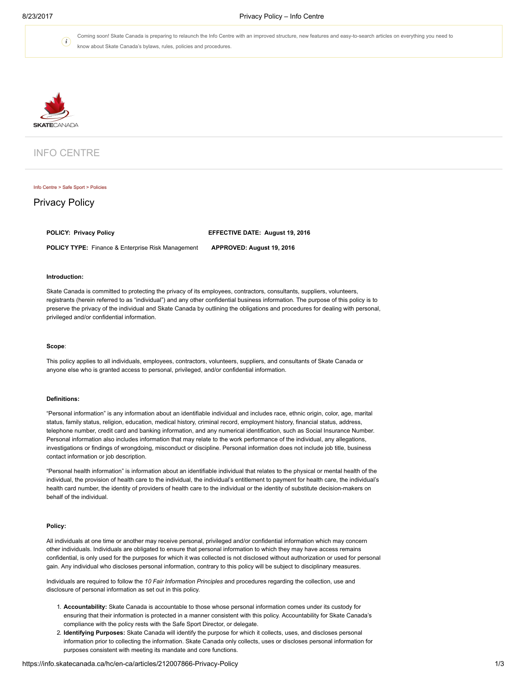$\bigodot$ 

Coming soon! Skate Canada is preparing to relaunch the Info Centre with an improved structure, new features and easy-to-search articles on everything you need to know about Skate Canada's bylaws, rules, policies and procedures.



# INFO CENTRE

#### Info [Centre](https://info.skatecanada.ca/hc/en-ca) > Safe [Sport](https://info.skatecanada.ca/hc/en-ca/categories/200194064-Safe-Sport) > [Policies](https://info.skatecanada.ca/hc/en-ca/sections/200547170-Policies)

## Privacy Policy

POLICY: Privacy Policy **EXALL AUGUST 2016** EFFECTIVE DATE: August 19, 2016

POLICY TYPE: Finance & Enterprise Risk Management APPROVED: August 19, 2016

## Introduction:

Skate Canada is committed to protecting the privacy of its employees, contractors, consultants, suppliers, volunteers, registrants (herein referred to as "individual") and any other confidential business information. The purpose of this policy is to preserve the privacy of the individual and Skate Canada by outlining the obligations and procedures for dealing with personal, privileged and/or confidential information.

### Scope:

This policy applies to all individuals, employees, contractors, volunteers, suppliers, and consultants of Skate Canada or anyone else who is granted access to personal, privileged, and/or confidential information.

#### Definitions:

"Personal information" is any information about an identifiable individual and includes race, ethnic origin, color, age, marital status, family status, religion, education, medical history, criminal record, employment history, financial status, address, telephone number, credit card and banking information, and any numerical identification, such as Social Insurance Number. Personal information also includes information that may relate to the work performance of the individual, any allegations, investigations or findings of wrongdoing, misconduct or discipline. Personal information does not include job title, business contact information or job description.

"Personal health information" is information about an identifiable individual that relates to the physical or mental health of the individual, the provision of health care to the individual, the individual's entitlement to payment for health care, the individual's health card number, the identity of providers of health care to the individual or the identity of substitute decision-makers on behalf of the individual.

### Policy:

All individuals at one time or another may receive personal, privileged and/or confidential information which may concern other individuals. Individuals are obligated to ensure that personal information to which they may have access remains confidential, is only used for the purposes for which it was collected is not disclosed without authorization or used for personal gain. Any individual who discloses personal information, contrary to this policy will be subject to disciplinary measures.

Individuals are required to follow the 10 Fair Information Principles and procedures regarding the collection, use and disclosure of personal information as set out in this policy.

- 1. Accountability: Skate Canada is accountable to those whose personal information comes under its custody for ensuring that their information is protected in a manner consistent with this policy. Accountability for Skate Canada's compliance with the policy rests with the Safe Sport Director, or delegate.
- 2. Identifying Purposes: Skate Canada will identify the purpose for which it collects, uses, and discloses personal information prior to collecting the information. Skate Canada only collects, uses or discloses personal information for purposes consistent with meeting its mandate and core functions.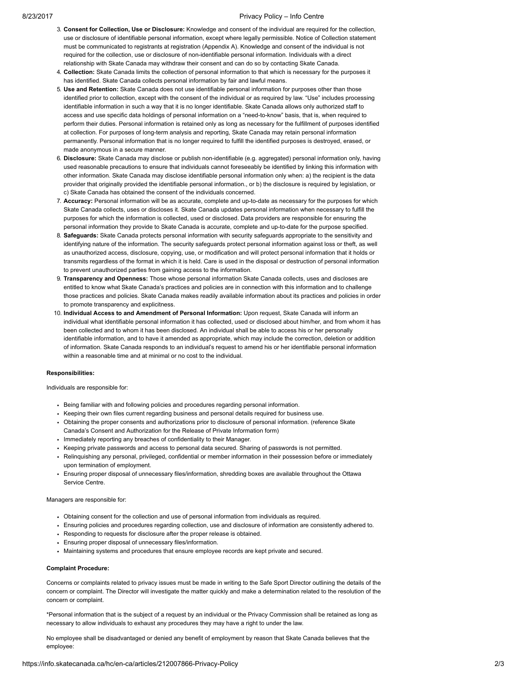## 8/23/2017 **Privacy Policy – Info Centre**

- 3. Consent for Collection, Use or Disclosure: Knowledge and consent of the individual are required for the collection, use or disclosure of identifiable personal information, except where legally permissible. Notice of Collection statement must be communicated to registrants at registration (Appendix A). Knowledge and consent of the individual is not required for the collection, use or disclosure of non-identifiable personal information. Individuals with a direct relationship with Skate Canada may withdraw their consent and can do so by contacting Skate Canada.
- 4. Collection: Skate Canada limits the collection of personal information to that which is necessary for the purposes it has identified. Skate Canada collects personal information by fair and lawful means.
- 5. Use and Retention: Skate Canada does not use identifiable personal information for purposes other than those identified prior to collection, except with the consent of the individual or as required by law. "Use" includes processing identifiable information in such a way that it is no longer identifiable. Skate Canada allows only authorized staff to access and use specific data holdings of personal information on a "need-to-know" basis, that is, when required to perform their duties. Personal information is retained only as long as necessary for the fulfillment of purposes identified at collection. For purposes of long-term analysis and reporting, Skate Canada may retain personal information permanently. Personal information that is no longer required to fulfill the identified purposes is destroyed, erased, or made anonymous in a secure manner.
- 6. Disclosure: Skate Canada may disclose or publish non-identifiable (e.g. aggregated) personal information only, having used reasonable precautions to ensure that individuals cannot foreseeably be identified by linking this information with other information. Skate Canada may disclose identifiable personal information only when: a) the recipient is the data provider that originally provided the identifiable personal information., or b) the disclosure is required by legislation, or c) Skate Canada has obtained the consent of the individuals concerned.
- 7. Accuracy: Personal information will be as accurate, complete and up-to-date as necessary for the purposes for which Skate Canada collects, uses or discloses it. Skate Canada updates personal information when necessary to fulfill the purposes for which the information is collected, used or disclosed. Data providers are responsible for ensuring the personal information they provide to Skate Canada is accurate, complete and up-to-date for the purpose specified.
- 8. Safeguards: Skate Canada protects personal information with security safeguards appropriate to the sensitivity and identifying nature of the information. The security safeguards protect personal information against loss or theft, as well as unauthorized access, disclosure, copying, use, or modification and will protect personal information that it holds or transmits regardless of the format in which it is held. Care is used in the disposal or destruction of personal information to prevent unauthorized parties from gaining access to the information.
- 9. Transparency and Openness: Those whose personal information Skate Canada collects, uses and discloses are entitled to know what Skate Canada's practices and policies are in connection with this information and to challenge those practices and policies. Skate Canada makes readily available information about its practices and policies in order to promote transparency and explicitness.
- 10. Individual Access to and Amendment of Personal Information: Upon request, Skate Canada will inform an individual what identifiable personal information it has collected, used or disclosed about him/her, and from whom it has been collected and to whom it has been disclosed. An individual shall be able to access his or her personally identifiable information, and to have it amended as appropriate, which may include the correction, deletion or addition of information. Skate Canada responds to an individual's request to amend his or her identifiable personal information within a reasonable time and at minimal or no cost to the individual.

## Responsibilities:

Individuals are responsible for:

- Being familiar with and following policies and procedures regarding personal information.
- Keeping their own files current regarding business and personal details required for business use.
- Obtaining the proper consents and authorizations prior to disclosure of personal information. (reference Skate Canada's Consent and Authorization for the Release of Private Information form)
- Immediately reporting any breaches of confidentiality to their Manager.
- Keeping private passwords and access to personal data secured. Sharing of passwords is not permitted.
- Relinquishing any personal, privileged, confidential or member information in their possession before or immediately upon termination of employment.
- Ensuring proper disposal of unnecessary files/information, shredding boxes are available throughout the Ottawa Service Centre.

### Managers are responsible for:

- Obtaining consent for the collection and use of personal information from individuals as required.
- Ensuring policies and procedures regarding collection, use and disclosure of information are consistently adhered to.
- Responding to requests for disclosure after the proper release is obtained.
- Ensuring proper disposal of unnecessary files/information.
- Maintaining systems and procedures that ensure employee records are kept private and secured.

## Complaint Procedure:

Concerns or complaints related to privacy issues must be made in writing to the Safe Sport Director outlining the details of the concern or complaint. The Director will investigate the matter quickly and make a determination related to the resolution of the concern or complaint.

\*Personal information that is the subject of a request by an individual or the Privacy Commission shall be retained as long as necessary to allow individuals to exhaust any procedures they may have a right to under the law.

No employee shall be disadvantaged or denied any benefit of employment by reason that Skate Canada believes that the employee: